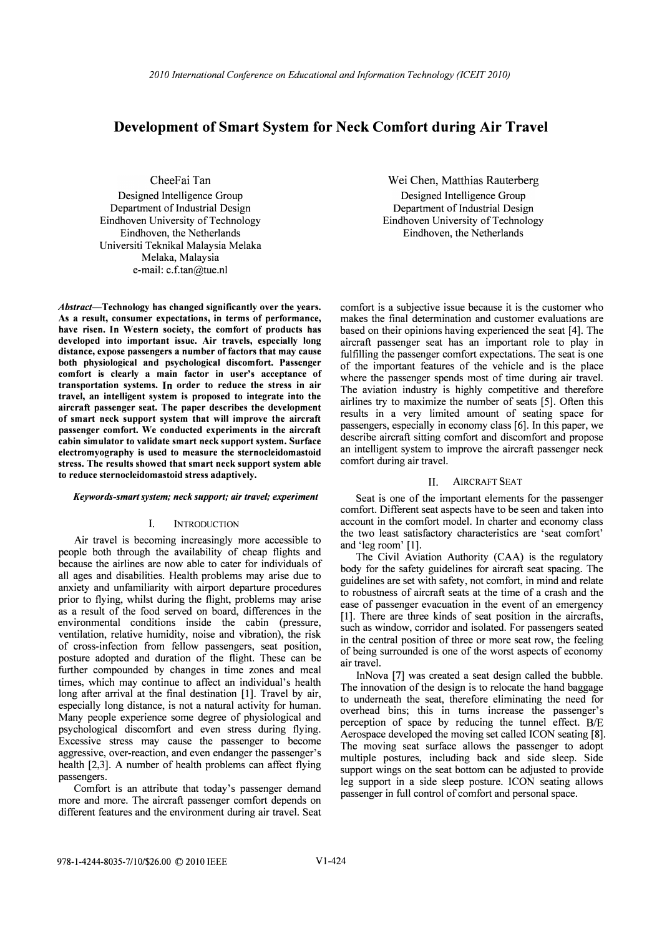# Development of Smart System for Neck Comfort during Air Travel

CheeFai Tan Designed Intelligence Group Department of Industrial Design Eindhoven University of Technology Eindhoven, the Netherlands Universiti Teknikal Malaysia Melaka Melaka, Malaysia e-mail: c.f.tan@tue.nl

Abstract-Technology has changed significantly over the years. As a result, consumer expectations, in terms of performance, have risen. In Western society, the comfort of products has developed into important issue. Air travels, especially long distance, expose passengers a number of factors that may cause both physiological and psychological discomfort. Passenger comfort is clearly a main factor in user's acceptance of transportation systems. In order to reduce the stress in air travel, an intelligent system is proposed to integrate into the aircraft passenger seat. The paper describes the development of smart neck support system that will improve the aircraft passenger comfort. We conducted experiments in the aircraft cabin simulator to validate smart neck support system. Surface electromyography is used to measure the sternocleidomastoid stress. The results showed that smart neck support system able to reduce sternocleidomastoid stress adaptively.

#### Keywords-smart system; neck support; air travel; experiment

#### 1. INTRODUCTION

Air travel is becoming increasingly more accessible to people both through the availability of cheap flights and because the airlines are now able to cater for individuals of all ages and disabilities. Health problems may arise due to anxiety and unfamiliarity with airport departure procedures prior to flying, whilst during the flight, problems may arise as a result of the food served on board, differences in the environmental conditions inside the cabin (pressure, ventilation, relative humidity, noise and vibration), the risk of cross-infection from fellow passengers, seat position, posture adopted and duration of the flight. These can be further compounded by changes in time zones and meal times, which may continue to affect an individual's health long after arrival at the final destination [1]. Travel by air, especially long distance, is not a natural activity for human. Many people experience some degree of physiological and psychological discomfort and even stress during flying. Excessive stress may cause the passenger to become aggressive, over-reaction, and even endanger the passenger's health [2,3]. A number of health problems can affect flying passengers.

Comfort is an attribute that today's passenger demand more and more. The aircraft passenger comfort depends on different features and the environment during air travel. Seat

Wei Chen, Matthias Rauterberg Designed Intelligence Group Department of Industrial Design Eindhoven University of Technology Eindhoven, the Netherlands

comfort is a subjective issue because it is the customer who makes the final determination and customer evaluations are based on their opinions having experienced the seat [4]. The aircraft passenger seat has an important role to play in fulfilling the passenger comfort expectations. The seat is one of the important features of the vehicle and is the place where the passenger spends most of time during air travel. The aviation industry is highly competitive and therefore airlines try to maximize the number of seats [5]. Often this results in a very limited amount of seating space for passengers, especially in economy class [6]. In this paper, we describe aircraft sitting comfort and discomfort and propose an intelligent system to improve the aircraft passenger neck comfort during air travel.

# II. AIRCRAFT SEAT

Seat is one of the important elements for the passenger comfort. Different seat aspects have to be seen and taken into account in the comfort model. In charter and economy class the two least satisfactory characteristics are 'seat comfort' and 'leg room' [1].

The Civil Aviation Authority (CAA) is the regulatory body for the safety guidelines for aircraft seat spacing. The guidelines are set with safety, not comfort, in mind and relate to robustness of aircraft seats at the time of a crash and the ease of passenger evacuation in the event of an emergency [1]. There are three kinds of seat position in the aircrafts, such as window, corridor and isolated. For passengers seated in the central position of three or more seat row, the feeling of being surrounded is one of the worst aspects of economy air travel.

InNova [7] was created a seat design called the bubble. The innovation of the design is to relocate the hand baggage to underneath the seat, therefore eliminating the need for overhead bins; this in turns increase the passenger's perception of space by reducing the tunnel effect. B/E Aerospace developed the moving set called ICON seating [8]. The moving seat surface allows the passenger to adopt multiple postures, including back and side sleep. Side support wings on the seat bottom can be adjusted to provide leg support in a side sleep posture. ICON seating allows passenger in full control of comfort and personal space.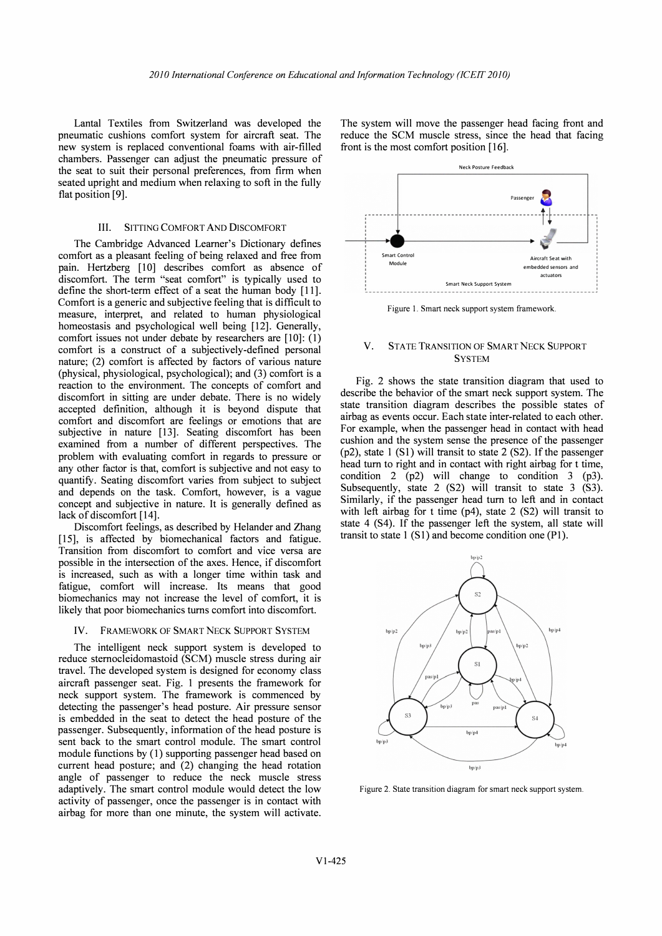Lantal Textiles from Switzerland was developed the pneumatic cushions comfort system for aircraft seat. The new system is replaced conventional foams with air-filled chambers. Passenger can adjust the pneumatic pressure of the seat to suit their personal preferences, from firm when seated upright and medium when relaxing to soft in the fully flat position [9].

# III. SITTING COMFORT AND DISCOMFORT

The Cambridge Advanced Leamer's Dictionary defines comfort as a pleasant feeling of being relaxed and free from pain. Hertzberg [10] describes comfort as absence of discomfort. The term "seat comfort" is typically used to define the short-term effect of a seat the human body [11]. Comfort is a generic and subjective feeling that is difficult to measure, interpret, and related to human physiological homeostasis and psychological well being [12]. Generally, comfort issues not under debate by researchers are [10]: (I) comfort is a construct of a subjectively-defined personal nature; (2) comfort is affected by factors of various nature (physical, physiological, psychological); and (3) comfort is a reaction to the environment. The concepts of comfort and discomfort in sitting are under debate. There is no widely accepted definition, although it is beyond dispute that comfort and discomfort are feelings or emotions that are subjective in nature [13]. Seating discomfort has been examined from a number of different perspectives. The problem with evaluating comfort in regards to pressure or any other factor is that, comfort is subjective and not easy to quantify. Seating discomfort varies from subject to subject and depends on the task. Comfort, however, is a vague concept and subjective in nature. It is generally defined as lack of discomfort [14].

Discomfort feelings, as described by Helander and Zhang [15], is affected by biomechanical factors and fatigue. Transition from discomfort to comfort and vice versa are possible in the intersection of the axes. Hence, if discomfort is increased, such as with a longer time within task and fatigue, comfort will increase. Its means that good biomechanics may not increase the level of comfort, it is likely that poor biomechanics turns comfort into discomfort.

#### IV. FRAMEWORK OF SMART NECK SUPPORT SYSTEM

The intelligent neck support system is developed to reduce sternocleidomastoid (SCM) muscle stress during air travel. The developed system is designed for economy class aircraft passenger seat. Fig. 1 presents the framework for neck support system. The framework is commenced by detecting the passenger's head posture. Air pressure sensor is embedded in the seat to detect the head posture of the passenger. Subsequently, information of the head posture is sent back to the smart control module. The smart control module functions by (1) supporting passenger head based on current head posture; and (2) changing the head rotation angle of passenger to reduce the neck muscle stress adaptively. The smart control module would detect the low activity of passenger, once the passenger is in contact with airbag for more than one minute, the system will activate.

The system will move the passenger head facing front and reduce the SCM muscle stress, since the head that facing front is the most comfort position [16].



Figure 1. Smart neck support system framework.

# V. STATE TRANSITION OF SMART NECK SUPPORT **SYSTEM**

Fig. 2 shows the state transition diagram that used to describe the behavior of the smart neck support system. The state transition diagram describes the possible states of airbag as events occur. Each state inter-related to each other. For example, when the passenger head in contact with head cushion and the system sense the presence of the passenger (p2), state I (S1) will transit to state 2 (S2). If the passenger head tum to right and in contact with right airbag for t time, condition 2 (p2) will change to condition 3 (p3). Subsequently, state 2 (S2) will transit to state 3 (S3). Similarly, if the passenger head tum to left and in contact with left airbag for t time (p4), state 2 (S2) will transit to state 4 (S4). If the passenger left the system, all state will transit to state  $1(S1)$  and become condition one (P1).



Figure 2. State transition diagram for smart neck support system.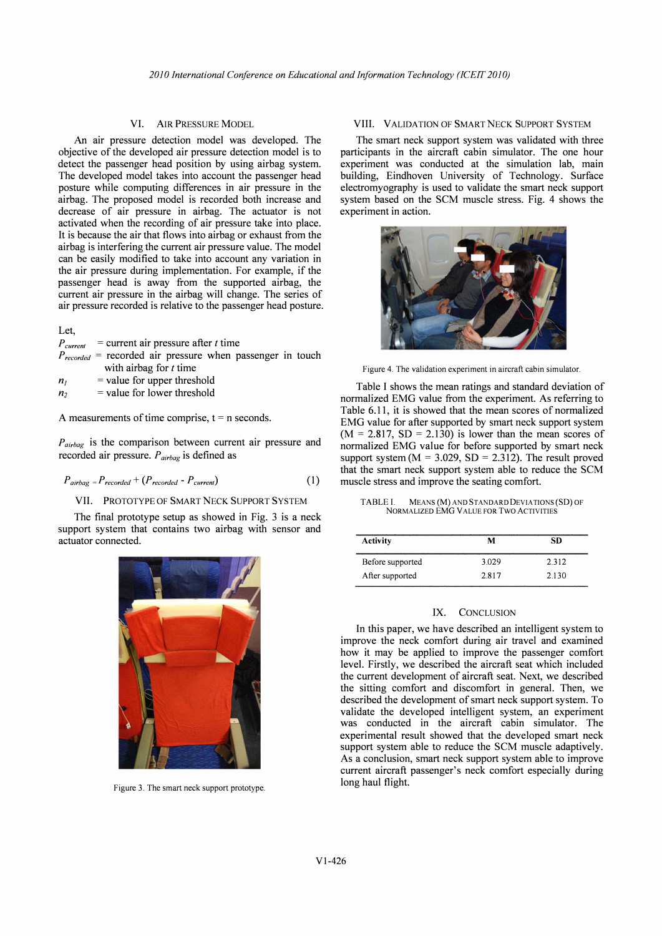## VI. AIR PRESSURE MODEL

An air pressure detection model was developed. The objective of the developed air pressure detection model is to detect the passenger head position by using airbag system. The developed model takes into account the passenger head posture while computing differences in air pressure in the airbag. The proposed model is recorded both increase and decrease of air pressure in airbag. The actuator is not activated when the recording of air pressure take into place. It is because the air that flows into airbag or exhaust from the airbag is interfering the current air pressure value. The model can be easily modified to take into account any variation in the air pressure during implementation. For example, if the passenger head is away from the supported airbag, the current air pressure in the airbag will change. The series of air pressure recorded is relative to the passenger head posture.

## Let,

|                | $P_{current}$ = current air pressure after t time              |  |
|----------------|----------------------------------------------------------------|--|
|                | $P_{recorded}$ = recorded air pressure when passenger in touch |  |
|                | with airbag for $t$ time                                       |  |
| n <sub>I</sub> | $=$ value for upper threshold                                  |  |
| n <sub>2</sub> | $=$ value for lower threshold                                  |  |

A measurements of time comprise,  $t = n$  seconds.

 $P_{airbag}$  is the comparison between current air pressure and recorded air pressure.  $P_{airbag}$  is defined as

$$
P_{airbag} = P_{recorded} + (P_{recorded} - P_{current})
$$
 (1)

#### VII. PROTOTYPE OF SMART NECK SUPPORT SYSTEM

The final prototype setup as showed in Fig. 3 is a neck support system that contains two airbag with sensor and actuator connected.



Figure 3. The smart neck support prototype.

#### VIII. VALIDATION OF SMART NECK SUPPORT SYSTEM

The smart neck support system was validated with three participants in the aircraft cabin simulator. The one hour experiment was conducted at the simulation lab, main building, Eindhoven University of Technology. Surface electromyography is used to validate the smart neck support system based on the SCM muscle stress. Fig. 4 shows the experiment in action.



Figure 4. The validation experiment in aircraft cabin simulator.

Table I shows the mean ratings and standard deviation of normalized EMG value from the experiment. As referring to Table 6.11, it is showed that the mean scores of normalized EMG value for after supported by smart neck support system  $(M = 2.817, SD = 2.130)$  is lower than the mean scores of normalized EMG value for before supported by smart neck support system ( $M = 3.029$ ,  $SD = 2.312$ ). The result proved that the smart neck support system able to reduce the SCM muscle stress and improve the seating comfort.

TABLE I. MEANS (M) AND STANDARD DEVIATIONS (SD) OF NORMALIZED EMG VALUE FOR Two ACTIVITIES

| <b>Activity</b>  | м     | SD    |
|------------------|-------|-------|
| Before supported | 3.029 | 2.312 |
| After supported  | 2.817 | 2.130 |

## IX. CONCLUSION

In this paper, we have described an intelligent system to improve the neck comfort during air travel and examined how it may be applied to improve the passenger comfort level. Firstly, we described the aircraft seat which included the current development of aircraft seat. Next, we described the sitting comfort and discomfort in general. Then, we described the development of smart neck support system. To validate the developed intelligent system, an experiment was conducted in the aircraft cabin simulator. The experimental result showed that the developed smart neck support system able to reduce the SCM muscle adaptively. As a conclusion, smart neck support system able to improve current aircraft passenger's neck comfort especially during long haul flight.